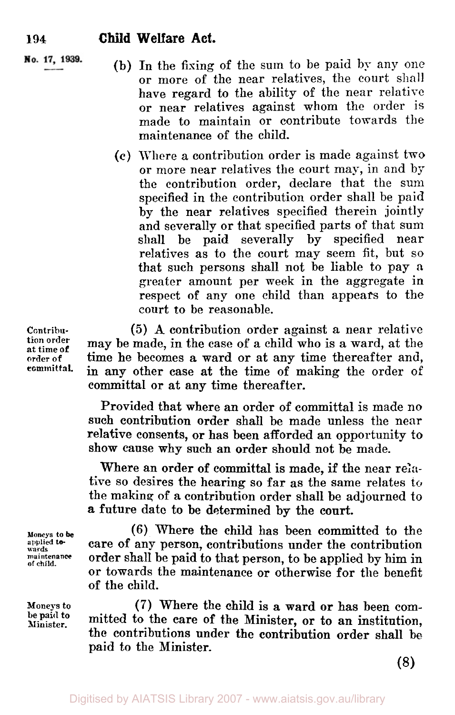No. 17, 1939.

(b) In the fixing of the sum to be paid by any one or more of the near relatives, the court shall have regard to the ability of the near relative **or** near relatives against whom the order is made to maintain or contribute towards the maintenance of the child.

(c) Where **a** contribution order is made against two **or** more near relatives the court may, in and by the contribution order, declare that the sum specified in the contribution order shall be paid by the near relatives specified therein jointly and severally or that specified parts of that sum shall be paid severally by specified near relatives as to the court may seem fit, but so that such persons shall not be liable to pay a greater amount per week in the aggregate in respect of any one child than appears to the court **to** be reasonable.

**(5) A** contribution order against **a** near relative may be made, in the case of a child **who** is a ward, at the time he becomes a ward or at any time thereafter and, in any other case at the time of making the order of committal **or** at any time thereafter.

Provided that where an order of committal is made no such contribution order shall be made unless the near relative consents, **or** has been afforded an opportunity to show cause why such an order should not be made.

Where an order of committal is made, if the near **rela**tive so desires the hearing so far **as** the same relates **to**  the making of a contribution order shall be adjourned to **a** future date to be determined by the court.

**(6)** Where the child has been committed to the care **of** any person, contributions under the contribution order shall be paid to that person, to be applied by him in or towards the maintenance **or** otherwise for the benefit of the child.

(7) Where the child is a ward **or** has been committed to the care of the Minister, **or to** an institution, the contributions under the contribution order shall be paid to the Minister.

Contribu**tion order at time of order of committal.** 

**Moneys to be applied** *to-* **wards maintenance of child.** 

**Moneys to be paid to Minister.**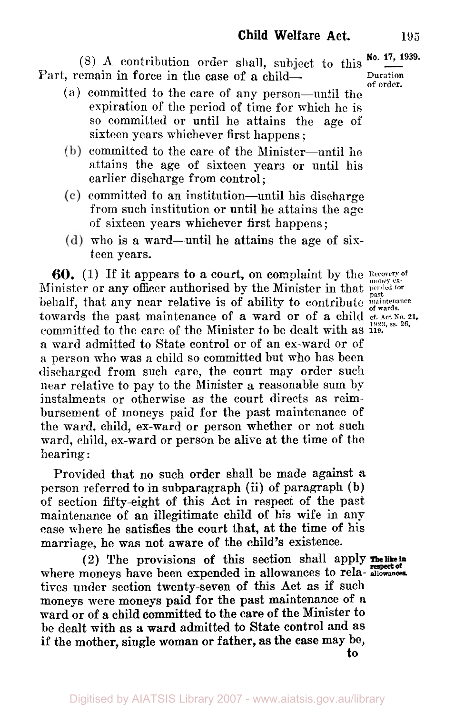#### $(8)$  **A** contribution order shall, subject to this  $\frac{No. 17, 1939}{\cdots}$ Part, remain in force in the case of a child-

- **(a)** committed to the care of any person-until the expiration of the period of time for which he is so committed or until he attains the age of sixteen years whichever first happens ;
- $(b)$  committed to the care of the Minister-until he attains the age of sixteen years or until his earlier discharge from control;
- $(c)$  committed to an institution—until his discharge from such institution or until he attains the **age**  of sixteen years whichever first happens ;
- $(d)$  who is a ward—until he attains the age of sixteen years.

**60.** (1) If it appears to a court, on complaint by the **Recovery of** Minister or any officer authorised by the Minister in that pended for behalf, that any near relative is of ability to contribute  $\frac{1}{\text{of}\ \text{wards}}$ towards the past maintenance of a ward or of a child cf. Act No. 21. <br>  $\frac{1923, \text{ss } 26}{11}$ committed to the care of the Minister to be dealt with as **119. a** ward admitted to State control **or** of an ex-ward or of a person who was a child so committed but who has been discharged from such care, the court may order such near relative to pay to the Minister a reasonable sum by instalments or otherwise as the court directs as reimbursement of moneys paid for the past maintenance of the ward, child, ex-ward **or** person whether or not such ward, child, ex-ward or person be alive at the time of the hearing :

Provided that no such order shall be made against a person referred **to** in subparagraph (ii) of paragraph (b) of section fifty-eight of this Act in respect of the part maintenance of an illegitimate child of his wife in any case where he satisfies the court that, at the time of his marriage, he was not aware of the child's existence.

(2) The provisions of this section shall apply where moneys have been expended in allowances to rela- **allowances**. tives under section twenty-seven of this Act as if such moneys were moneys paid for the past maintenance of **a**  ward **or** of a child committed **to** the care **of** the Minister to be dealt with **as** a ward admitted to State control and **as**  if the mother, single woman **or** father, as the case may be, **to**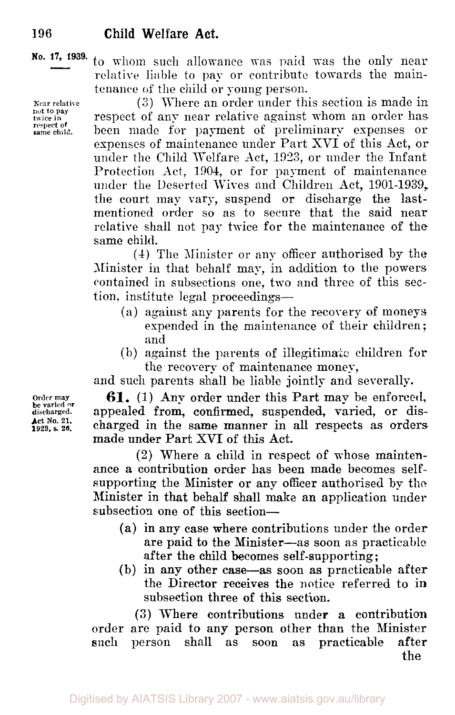**Kear relative** nut to **pay twice in respect of same child.** 

**No. 17 1939.** to whom such allowance was paid was the only near relative liable to pay or contribute towards the maintenance of the child or young person.

> (3) Where an order under this section is made in respect of any near relative against whom an order has been made for payment of preliminary expenses or expenses of maintenance under Part XVI of this Act, or under the Child Welfare Act, 1923, or under the Infant Protection Act, 1904, or for payment of maintenance under the Deserted Wives and Children Act, 1901-1939, the court **may** vary, suspend or discharge the lastmentioned order so as to secure that the said near relative shall not pay twice for the maintenance of the same child.

> **(1)** The Minister or any officer authorised by the Minister in that behalf may, in addition to the powers contained in subsections one, two and three of this section, institute legal proceedings-

- (a) against any parents for the recovery of moneys expended in the maintenance **of** their children : and
- (b) against the parents of illegitimate children for the recovery of maintenance money,

and such parents shall be liable jointly and severally.

**61.** (1) Any order under this Part may be enforced, appealed from, confirmed, suspended, varied, **or** discharged in the **same** manner in all respects as orders made under Part XVI of this Act.

(2) Where a child in respect of whose maintenance a contribution order has been made becomes selfsupporting the Minister or any officer authorised by the Minister in that behalf shall make an application under subsection one of this section-

- **(a)** in **any** case where contributions under the order **are** paid to the Minister-as soon as practicable after the child becomes self-supporting;
- (b) in any other case-as soon as practicable after the Director receives the notice referred to in subseetion three **of** this section.

**(3)** There contributions under **a** contribution order are paid to any person other than the Minister such person shall as soon as practicable after the

**Order may**  $\ddot{\textbf{a}}$  ischarged. **Act No. 21. 1923, s. 26.**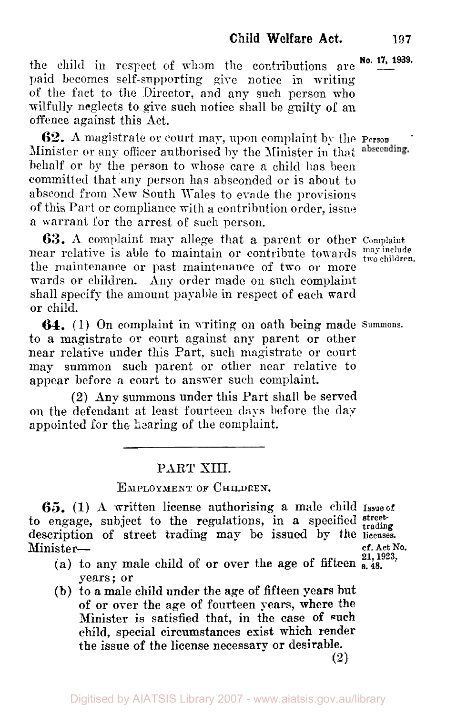the child in respect of whom the contributions are  $N_0$ . 17, 1939. paid becomes self-supporting give notice in writing of the fact to the Director, and any such person who wilfully neglects to give such notice shall be guilty of an offence against this Act.

Minister or any officer authorised **by** the Minister in that behalf or by the person to whose care a child has been committed that any person has absconded or is about to abscond from Sew South Wales to evade the provisions of this Part or compliance n-itli **a** contribution order, issue **a** warrant for the arrest of such person. **62.** A magistrate or court may, upon complaint by the **Person** 

**63. A** complaint may allege that a parent or other Complaint near relative is able to maintain or contribute towards  $\frac{m}{two \text{ children}}$ . the maintenance or past maintenance of two or more wards or children. Any order made on such complaint shall specify the amount **payable** in respect of each ward or child.

to a magistrate or court against any parent or other near relative under this Part, such magistrate or court may summon such parent or other near relative to appear before a court to answer such complaint. **64.** (1) On complaint in writing on oath being made Summons.

**(2)** Any summons under this Part shall be served on the defendant at least fourteen days before the day appointed for the hearing of the complaint.

## PART XIII.

#### EMPLOYMENT OF **CHILDREN.**

*65.* (I) **A** written license authorising a male child Issue of to engage, subject to the regulations, in a specified streetdescription of street trading may be issued by the **licenses.**  Minister- **cf. Act** NO.

- (a) to any male child of or over the age of fifteen  $\frac{21}{8,48}$ . years; or
- **(b)** to **a** male child under the age of fifteen years hut of **or** over the age of fourteen **years,** where the Minister is satisfied that, in the case of **such**  child, special circumstances exist which render the issue of the license necessary **or** desirable.

**(2)**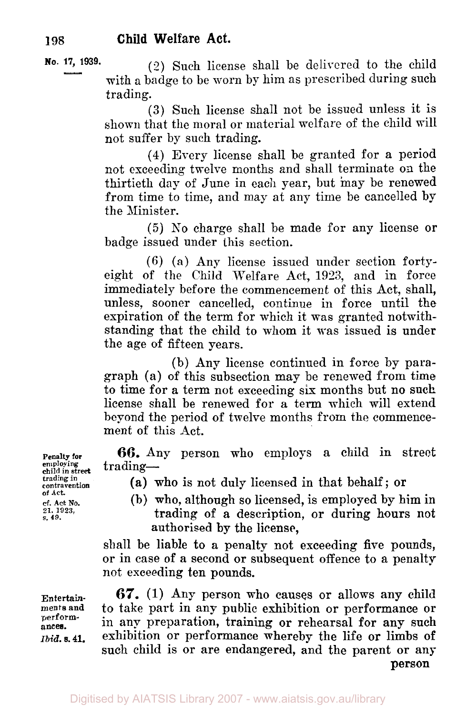#### **No. 17, 1939.**

**(2)** Such license shall be delivered to the child with a badge to be worn by him as prescribed during such trading.

**(3)** Such license shall not be issued unless it is shown that the moral or material welfare of the child will not suffer by such trading.

**(4)** Every license shall be granted for a period not exceeding twelve months and shall terminate *on* the thirtieth day of June in each year, but may be renewed from time to time, and may at any time be cancelled by the Minister.

(5) **No** charge shall be made for any license or badge issued under this section.

(6) (a) Any license issued under section fortyeight of the Child Welfare Act, **1923,** and in force immediately before the commencement of this Act, shall, unless, sooner cancelled, continue in force until the expiration of the term for which it was granted notwithstanding that the child to whom it was issued is under the age of fifteen years.

(b) Any license continued in force by paragraph (a) of this subsection may be renewed from time to time for a term not exceeding six months but no such license shall be renewed for a term which will extend beyond the period of twelve months from the commencement of this Act.

**Penalty for 66.** Any person who employs a child in street trading—

(a) who is not duly licensed in that behalf; or

(b) who, although so licensed, is employed by him in trading of a description, or during hours not authorised by the **license,** 

shall be liable to a penalty not exceeding five pounds, or in case of a second **or** subsequent offence to a penalty not exceeding ten pounds.

*67.* (1) Any person who causes or allows any child to take part in any public exhibition or performance **or**  in any preparation, training or rehearsal for any such exhibition or performance whereby the life or limbs **of**  such child is or are endangered, and the parent or any

**person** 

**employing child in street** trading- **trading in contravention of Act. cf. Act No. s. 21. 49. 1923,** 

**Entertainments and performances. Ibid. s.41.**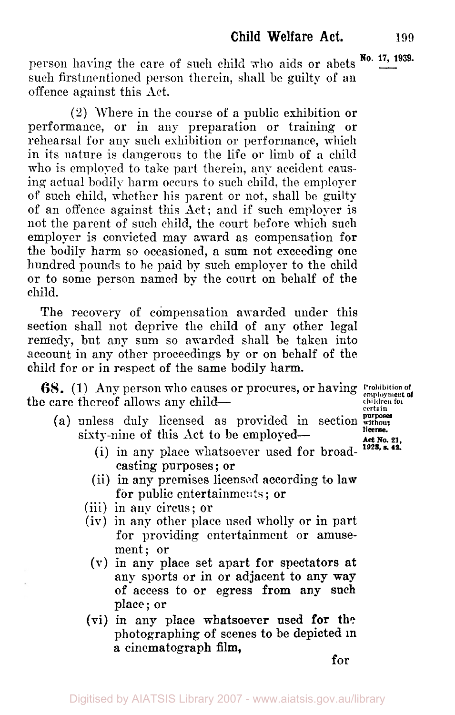person having the care of such child who aids or abets <sup>No. 17, 1939.</sup> such firstmentioned person therein, shall be guilty of an offence against this Act.

(2) Where in the course of a public exhibition or performance, or in any preparation or training or rehearsal for any such exhibition or performance, which in its nature is dangerous to the life or limb of a child who is employed to take part therein, any accident causing actual bodily harm occurs to such child, the employer of such child, whether his parent or not, shall be guilty of an offence against this Act; and if such employer is not the parent of such child, the court before which such employer is convicted may award as compensation for the bodily harm so occasioned, a sum not exceeding one hundred pounds to he paid by such employer to the child or to some person named by the court on behalf of the child.

The recovery of compensation awarded under this section shall not deprive the child of any other legal remedy, but any sum so awarded shall be taken into account in any other proceedings by or on behalf of the child for or in respect of the same bodily harm.

the care thereof allows any child-**68.** (1) Any person who causes or procures, or having Prohibition of **children for certain** 

- (a) unless duly licensed as provided in section  $\frac{purpose}{without}$ **license.**  *Art* **No. 21,**  sixty-nine of this Act to be employed-
	- (i) in any place whatsoever used for broad-*1923,* **s. 42.**  casting purposes ; or
	- (ii) in any premises licensed according to law for public entertainments ; or
	- (iii) in any circus; or
	- (iv) in any other place used wholly or in part for providing entertainment or amusement; or
		- (V) in any place set apart for spectators at any sports or in or adjacent to any way of access to or egress from any such place; or
	- **(vi)** in any **place** whatsoever **used for** the photographing of scenes **to** be depicted **in a** cinematograph **film,**

for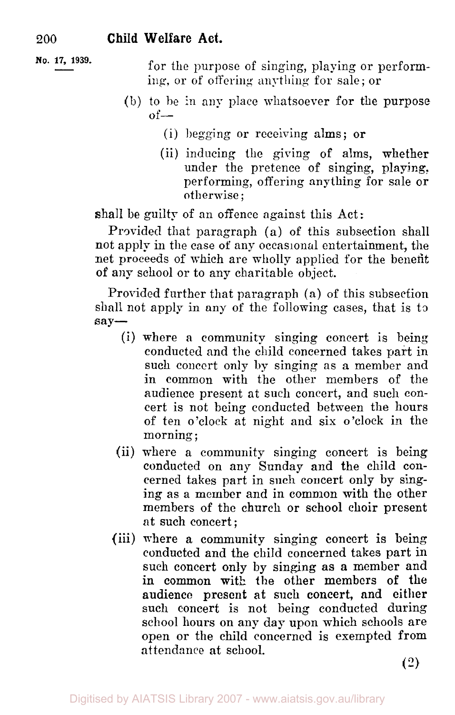- **No. 17, 1939.** for the purpose of singing, playing or performing, or of offering anything for sale; or
	- (b) to be in any place whatsoever for the purpose  $of-$ 
		- (i) begging or receiving alms; or
		- (ii) inducing the giving of alms, whether under the pretence of singing, playing. performing, offering anything for sale or otherwise ;

shall be guilty of an offence against this Act:

Provided that paragraph (a) of this subsection shall not apply in the case of any occasional entertainment, the net proceeds of which are wholly applied for the benefit of any school or to any charitable object.

Provided further that paragraph (a) of this subsection shall not apply in any of the following cases, that is to say-

- **(i)** where a community singing concert is being conducted and the child concerned takes part in such concert only by singing as a member and in common with the other members of the audience present at such concert, and such concert is not being conducted between the hours of ten o'clock at night and six o'clock in the morning ;
- (ii) where a community singing concert is being conducted on any Sunday and the child concerned takes part in such concert only by singing as a member and in common with the other members of the church or school choir present at such concert ;
- (iii) where a community singing concert is being conducted and the child concerned takes part in such concert only by singing as **a** member and in common **with** the other members of the audience present at such concert, and either such concert is not being conducted during school hours on any day upon which schools are open or the child concerned is exempted from attendance at school.

*(2)*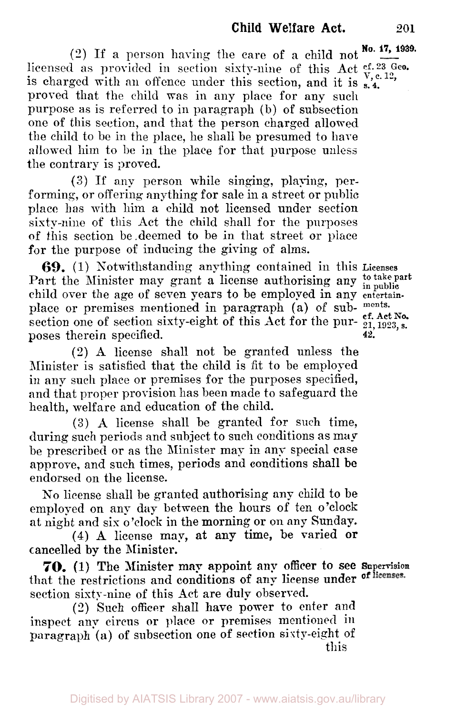Digitised by AIATSIS Library 2007 - www.aiatsis.gov.au/library

**No. 17, 1939.** (2) If a person having the care of a child not licensed as provided in section sixty-nine of this Act  $r<sub>x, e, 12</sub>$ ,  $r<sub>y, e, 12</sub>$ is charged with an offence under this section, and it is  $\frac{v, c}{s}$ . proved that the child was in any place for any such purpose as is referred to in paragraph (b) **of** subsection one of this section, and that the person charged allowed the child to be in the place, he shall be presumed to hare allowed him to be in the place for that purpose unless the contrary is proved.

(3) If any person while singing, playing, performing, or offering anything for sale in a street or public place has with him a child not licensed under section sixty-nine of this Act the child shall for the purposes of this section be deemed to be in that street or place for the purpose of inducing the giving of alms.

**69.** (1) Sotwithstanding anything contained in this **Licenses**  Part the Minister may grant a license authorising any <sup>to take part</sup> child over the age of seven years to be employed in any **entertain**place or premises mentioned in paragraph (a) of sub- **ments.**  section one of section sixty-eight of this Act for the purposes therein specified. **42.** 

**(2) A** license shall not be granted unless the Minister is satisfied that the child is fit to be employed in any such place or premises for the purposes specified, and that proper provision has been made to safeguard the health, welfare and education of the child.

**(3) A** license shall be granted for such time, during such periods and subject to such conditions as  $\mathbf{m}{\mathbf{v}}$ be prescribed or as the Minister may in any special case approve, and such times, periods and conditions shall **be**  endorsed on the license.

No license shall be granted authorising any child to be employed on any day between the hours of ten o'clock at night and six o'clock in the morning or on any Sunday.

**(4) A** license map, at any time, be varied **or**  cancelled **by** the Minister.

that the restrictions and conditions of any license under of licenses. section sixty-nine of this Act are duly observed. **70,** (1) **The** Minister may appoint **any** officer to see **Supervision** 

(2) Such officer shall have power to enter and inspect any circus or place or premises mentioned in paragraph **(a)** of subsection one of section sixty-eight of this

**cf. Act No.**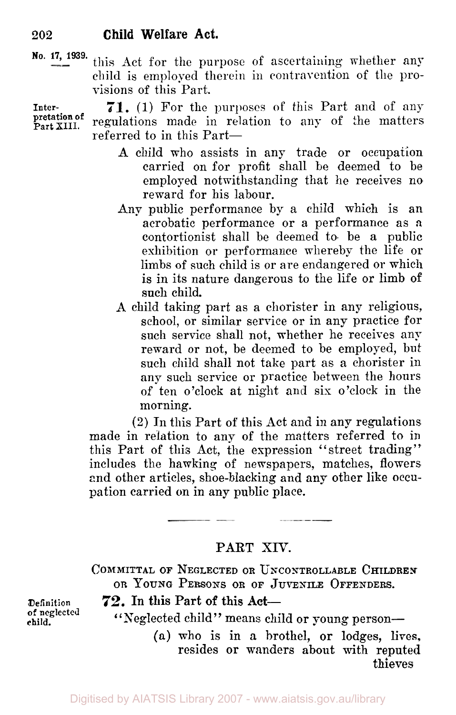**No. 17, 1939.** this Act for the purpose of ascertaining whether any child is employed therein in contravention of the provisions of this Part.

**71.** (1) For the purposes of this Part and of any regulations made in relation to any of the matters referred to in this Part-**Inter-Part XIII. pretation** of

- A child who assists in any trade or occupation carried on for profit shall be deemed to be employed notwithstanding that he receives no reward for his labour.
- Any public performance by a child which is an acrobatic performance or a performance as **a**  contortionist shall be deemed to be a public exhibition or performance whereby the life or limbs of such child is or are endangered or which is in its nature dangerous to the life or limb of such child.
- A child taking part as a chorister in any religious, school, or similar service or in any practice for such service shall not, whether he receives any reward or not, be deemed to be employed, but such child shall not take part as a chorister in any such service or practice between the hours of ten o'clock at night and six o'clock in the morning.

(2) In this Part of this Act and in any regulations made in relation to any of the matters referred to in this Part of this Act, the expression "street trading" includes the hawking of newspapers, matches, flowers and other articles, shoe-blacking and any other like occupation carried on in any public place.

### **PART** XIV.

**COMMITTAL OF NEGLECTED OR UNCONTROLLABLE CHILDREN OR YOUNG PERSONS OR OF JUVENILE OFFENDERS.** 

**Definition** 72. In this Part of this Act-

"Neglected child" means child or young person-

(a) who is in a brothel, or lodges, lives, resides or wanders about with reputed thieves

**of neglected child.**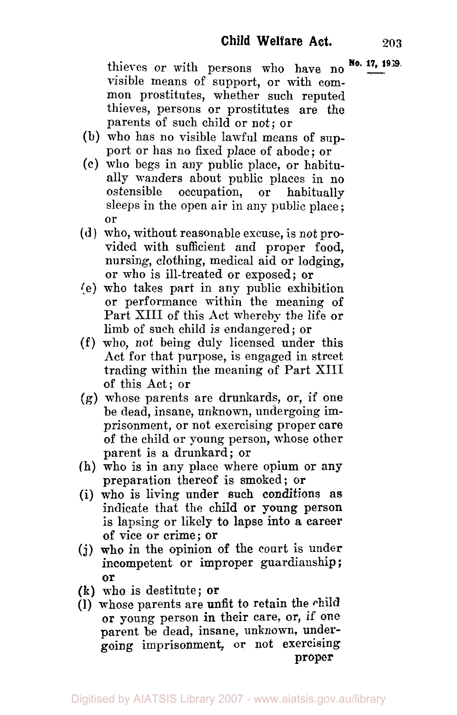thieves or with persons who have no **No. 17, 1939**. visible means of support, or with common prostitutes, whether such reputed thieves, persons or prostitutes are the parents of such child or not; or

- (b) who has no visible lawful means of support or has no fixed place of abode; or
- (c) who begs in any public place, or habitually wanders about public places in no ostensible occupation, or habitually sleeps in the open air in any public place ; or
- **(d** ) who, without reasonable excuse, is not provided with sufficient and proper food, nursing, clothing, medical aid or lodging, or who is ill-treated or exposed; or
- (e) who takes part in any public exhibition or performance within the meaning of Part XIII of this Act whereby the life or limb of such child is endangered; or
- (f) who, not being duly licensed under this Act for that purpose, is engaged in street trading within the meaning of Part XIII of this Act; or
- *(g)* whose parents are drunkards, or, if one be dead, insane, unknown, undergoing imprisonment, or not exercising proper care of the child or young person, whose other parent is a drunkard; or
- (h) who is in any place where opium or any preparation thereof is smoked; or
- (i) who is living under such conditions **as**  indicate that the child or young person is lapsing or likely to lapse into **a** career of vice **or** crime; or
- (j) **who** in the opinion of the court is under incompetent or improper guardianship; **or**
- **(k)** who is destitute; **or**
- (1) whose parents are unfit to retain the child or young person in their care, or, if one parent be dead, insane, unknown, undergoing imprisonment, or not exercising **proper**

Digitised by AIATSIS Library 2007 - www.aiatsis.gov.au/library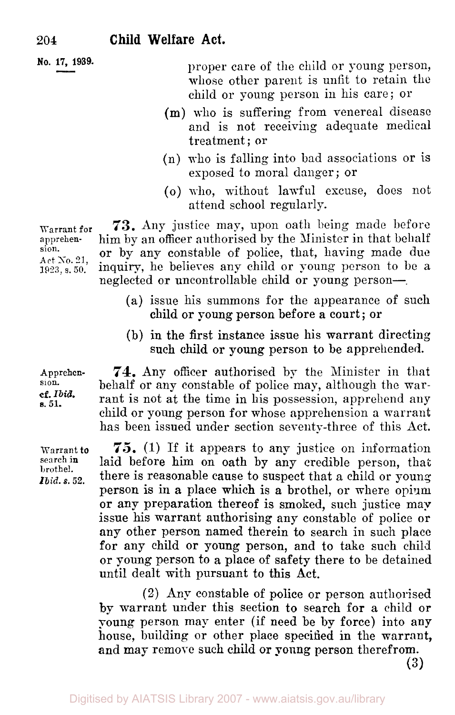**No. 17, 1939.** 

proper care of the child or young person, whose other parent is unfit to retain the child or young person in his care; or

- (m) who is suffering from venereal disease and is not receiving adequate medical treatment; or
- (n) who is falling into bad associations or is exposed to moral danger ; or
- *(o)* who, without lawful excuse, does not attend school regularly.

**73.** Any justice may, upon oath being made before him by an officer authorised by the Minister in that behalf or by any constable of police, that, having made due inquiry, he believes any child or young person to be a neglected or uncontrollable child or young person-.

- (a) issue his summons for the appearance of such child or young person before a court; or
- (b) in the first instance issue his warrant directing such child or young person to be apprehended.

**74.** Any officer authorised by the Minister in that behalf or any constable of police may, although the warrant is not at the time in his possession, apprehend any child or young person for whose apprehension a warrant has been issued under section seventy-three of this Act.

*75.* (1) If it appears to any justice on information laid before him on oath by any credible person, that there is reasonable cause to suspect that a child or young person is in a place which is a brothel, or where opium or **any** preparation thereof is smoked, such justice map issue his warrant authorising any Constable of police or any other person named therein to search in such place for any child or young person, and to **take** such child or young person to a place of safety there to be detained until dealt with pursuant to this Act.

(2) Any constable of police or person authorised **by** warrant under this section to search for a child or young person map enter (if need be by force) into any house, building or other place specified in the warrant, **and** may remove such child or **young** person therefrom.

**(3)** 

Warrant **for**  apprehension. **Art** *So.* 21, **1923,** s. **50.** 

**Apprehen**sion. **cf.** *Ibid. s.* **51.** 

Warrant *to*  search **in**  brothel. *Ibid.* **s. 52.**